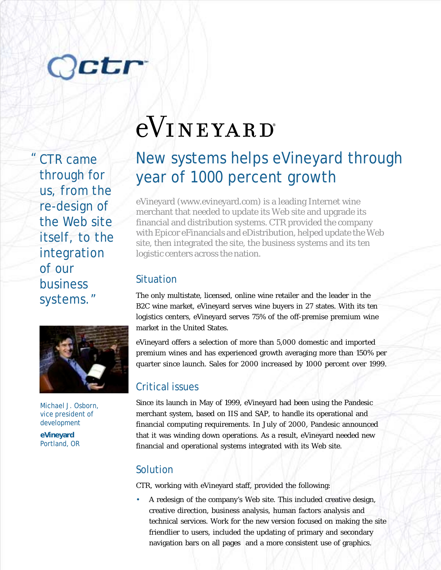# Octr

CTR came through for us, from the re-design of the Web site itself, to the integration of our business systems."



Michael J. Osborn, vice president of development

**eVineyard** Portland, OR

## eVINEYARD

### New systems helps eVineyard through year of 1000 percent growth

eVineyard (www.evineyard.com) is a leading Internet wine merchant that needed to update its Web site and upgrade its financial and distribution systems. CTR provided the company with Epicor eFinancials and eDistribution, helped update the Web site, then integrated the site, the business systems and its ten logistic centers across the nation.

#### Situation

The only multistate, licensed, online wine retailer and the leader in the B2C wine market, eVineyard serves wine buyers in 27 states. With its ten logistics centers, eVineyard serves 75% of the off-premise premium wine market in the United States.

eVineyard offers a selection of more than 5,000 domestic and imported premium wines and has experienced growth averaging more than 150% per quarter since launch. Sales for 2000 increased by 1000 percent over 1999.

#### Critical issues

Since its launch in May of 1999, eVineyard had been using the Pandesic merchant system, based on IIS and SAP, to handle its operational and financial computing requirements. In July of 2000, Pandesic announced that it was winding down operations. As a result, eVineyard needed new financial and operational systems integrated with its Web site.

#### Solution

CTR, working with eVineyard staff, provided the following:

• A redesign of the company's Web site. This included creative design, creative direction, business analysis, human factors analysis and technical services. Work for the new version focused on making the site friendlier to users, included the updating of primary and secondary navigation bars on all pages and a more consistent use of graphics.